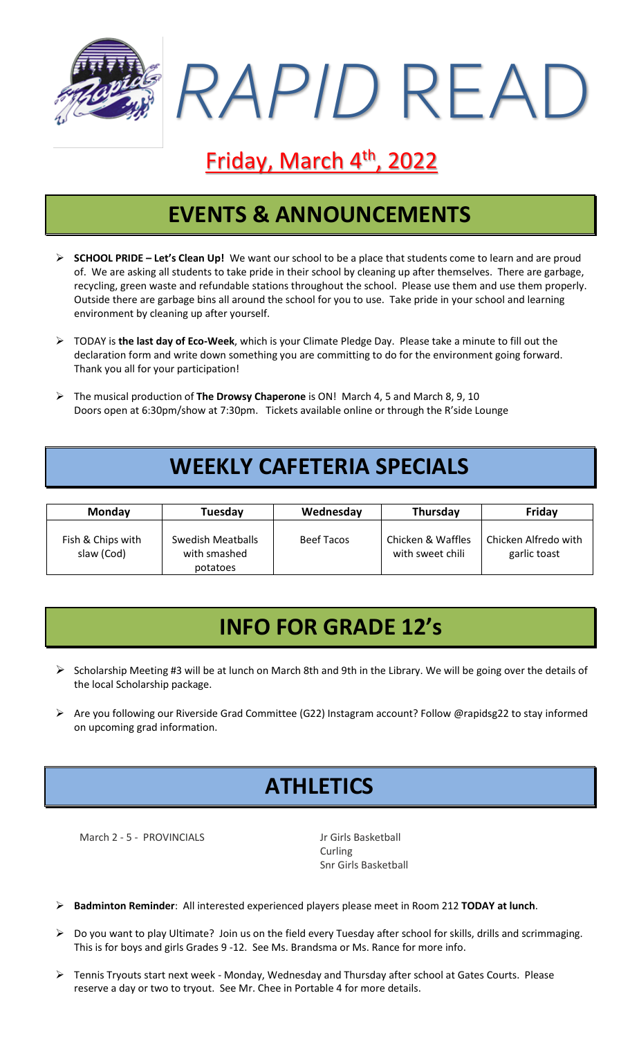

# Friday, March 4<sup>th</sup>, 2022

## **EVENTS & ANNOUNCEMENTS**

- ➢ **SCHOOL PRIDE – Let's Clean Up!** We want our school to be a place that students come to learn and are proud of. We are asking all students to take pride in their school by cleaning up after themselves. There are garbage, recycling, green waste and refundable stations throughout the school. Please use them and use them properly. Outside there are garbage bins all around the school for you to use. Take pride in your school and learning environment by cleaning up after yourself.
- ➢ TODAY is **the last day of Eco-Week**, which is your Climate Pledge Day. Please take a minute to fill out the declaration form and write down something you are committing to do for the environment going forward. Thank you all for your participation!
- ➢ The musical production of **The Drowsy Chaperone** is ON! March 4, 5 and March 8, 9, 10 Doors open at 6:30pm/show at 7:30pm. Tickets available online or through the R'side Lounge

#### **WEEKLY CAFETERIA SPECIALS**

| <b>Monday</b>                   | Tuesday                                       | Wednesday  | Thursday                              | Friday                               |
|---------------------------------|-----------------------------------------------|------------|---------------------------------------|--------------------------------------|
| Fish & Chips with<br>slaw (Cod) | Swedish Meatballs<br>with smashed<br>potatoes | Beef Tacos | Chicken & Waffles<br>with sweet chili | Chicken Alfredo with<br>garlic toast |

## **INFO FOR GRADE 12's**

- ➢ Scholarship Meeting #3 will be at lunch on March 8th and 9th in the Library. We will be going over the details of the local Scholarship package.
- ➢ Are you following our Riverside Grad Committee (G22) Instagram account? Follow @rapidsg22 to stay informed on upcoming grad information.

## **ATHLETICS**

March 2 - 5 - PROVINCIALS<br>
Jr Girls Basketball

Curling Snr Girls Basketball

➢ **Badminton Reminder**: All interested experienced players please meet in Room 212 **TODAY at lunch**.

- ➢ Do you want to play Ultimate? Join us on the field every Tuesday after school for skills, drills and scrimmaging. This is for boys and girls Grades 9 -12. See Ms. Brandsma or Ms. Rance for more info.
- ➢ Tennis Tryouts start next week Monday, Wednesday and Thursday after school at Gates Courts. Please reserve a day or two to tryout. See Mr. Chee in Portable 4 for more details.